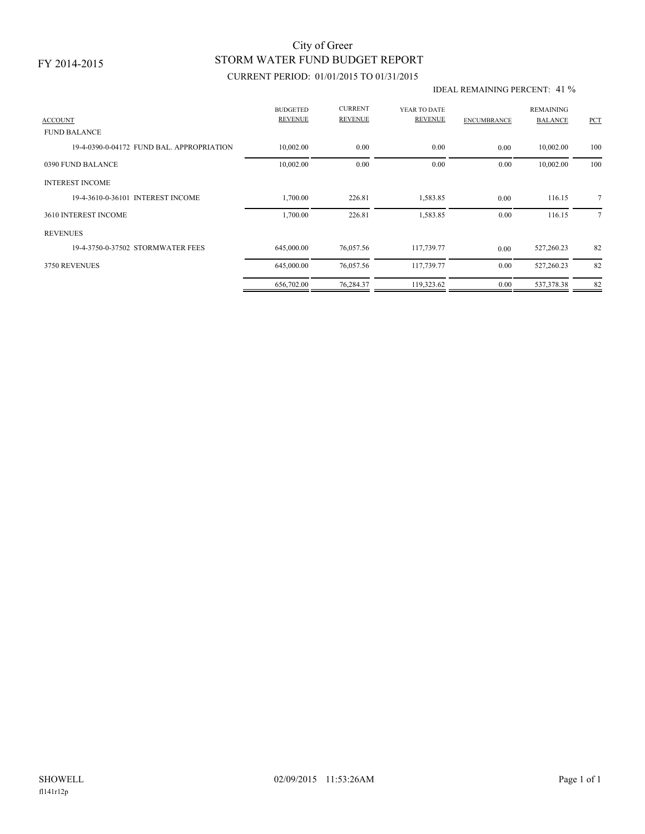### FY 2014-2015

## STORM WATER FUND BUDGET REPORT City of Greer

### CURRENT PERIOD: 01/01/2015 TO 01/31/2015

#### IDEAL REMAINING PERCENT: 41 %

| <b>ACCOUNT</b>                            | <b>BUDGETED</b><br><b>REVENUE</b> | <b>CURRENT</b><br><b>REVENUE</b> | YEAR TO DATE<br>REVENUE | <b>ENCUMBRANCE</b> | <b>REMAINING</b><br><b>BALANCE</b> | PCT            |
|-------------------------------------------|-----------------------------------|----------------------------------|-------------------------|--------------------|------------------------------------|----------------|
| <b>FUND BALANCE</b>                       |                                   |                                  |                         |                    |                                    |                |
| 19-4-0390-0-04172 FUND BAL, APPROPRIATION | 10,002.00                         | 0.00                             | 0.00                    | 0.00               | 10,002.00                          | 100            |
| 0390 FUND BALANCE                         | 10,002.00                         | 0.00                             | 0.00                    | 0.00               | 10,002.00                          | 100            |
| <b>INTEREST INCOME</b>                    |                                   |                                  |                         |                    |                                    |                |
| 19-4-3610-0-36101 INTEREST INCOME         | 1,700.00                          | 226.81                           | 1,583.85                | 0.00               | 116.15                             | $\tau$         |
| 3610 INTEREST INCOME                      | 1,700.00                          | 226.81                           | 1,583.85                | 0.00               | 116.15                             | $\overline{7}$ |
| <b>REVENUES</b>                           |                                   |                                  |                         |                    |                                    |                |
| 19-4-3750-0-37502 STORMWATER FEES         | 645,000.00                        | 76,057.56                        | 117,739.77              | 0.00               | 527,260.23                         | 82             |
| 3750 REVENUES                             | 645,000.00                        | 76,057.56                        | 117,739.77              | 0.00               | 527,260.23                         | 82             |
|                                           | 656,702.00                        | 76,284.37                        | 119,323.62              | 0.00               | 537,378.38                         | 82             |